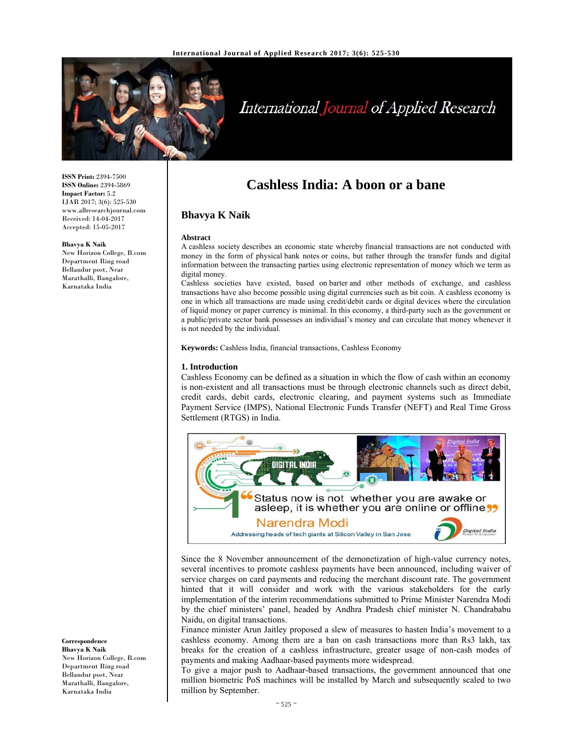

# International Journal of Applied Research

**ISSN Print:** 2394-7500 **ISSN Online:** 2394-5869 **Impact Factor:** 5.2 IJAR 2017; 3(6): 525-530 www.allresearchjournal.com Received: 14-04-2017 Accepted: 15-05-2017

#### **Bhavya K Naik**

New Horizon College, B.com Department Ring road Bellandur post, Near Marathalli, Bangalore, Karnataka India

**Correspondence Bhavya K Naik** 

New Horizon College, B.com Department Ring road Bellandur post, Near Marathalli, Bangalore, Karnataka India

# **Cashless India: A boon or a bane**

# **Bhavya K Naik**

#### **Abstract**

A cashless society describes an economic state whereby financial transactions are not conducted with money in the form of physical bank notes or coins, but rather through the transfer funds and digital information between the transacting parties using electronic representation of money which we term as digital money.

Cashless societies have existed, based on barter and other methods of exchange, and cashless transactions have also become possible using digital currencies such as bit coin. A cashless economy is one in which all transactions are made using credit/debit cards or digital devices where the circulation of liquid money or paper currency is minimal. In this economy, a third-party such as the government or a public/private sector bank possesses an individual's money and can circulate that money whenever it is not needed by the individual.

**Keywords:** Cashless India, financial transactions, Cashless Economy

#### **1. Introduction**

Cashless Economy can be defined as a situation in which the flow of cash within an economy is non-existent and all transactions must be through electronic channels such as direct debit, credit cards, debit cards, electronic clearing, and payment systems such as Immediate Payment Service (IMPS), National Electronic Funds Transfer (NEFT) and Real Time Gross Settlement (RTGS) in India.



Since the 8 November announcement of the demonetization of high-value currency notes, several incentives to promote cashless payments have been announced, including waiver of service charges on card payments and reducing the merchant discount rate. The government hinted that it will consider and work with the various stakeholders for the early implementation of the interim recommendations submitted to Prime Minister Narendra Modi by the chief ministers' panel, headed by Andhra Pradesh chief minister N. Chandrababu Naidu, on digital transactions.

Finance minister Arun Jaitley proposed a slew of measures to hasten India's movement to a cashless economy. Among them are a ban on cash transactions more than Rs3 lakh, tax breaks for the creation of a cashless infrastructure, greater usage of non-cash modes of payments and making Aadhaar-based payments more widespread.

To give a major push to Aadhaar-based transactions, the government announced that one million biometric PoS machines will be installed by March and subsequently scaled to two million by September.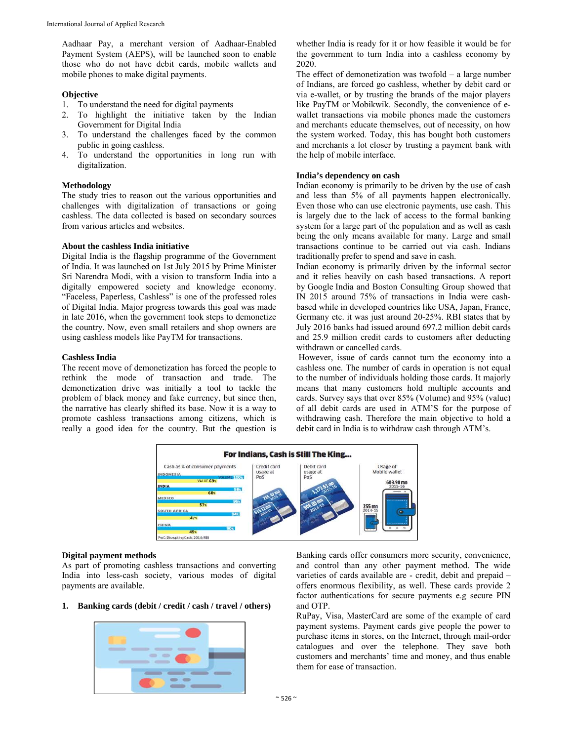Aadhaar Pay, a merchant version of Aadhaar-Enabled Payment System (AEPS), will be launched soon to enable those who do not have debit cards, mobile wallets and mobile phones to make digital payments.

#### **Objective**

- 1. To understand the need for digital payments
- 2. To highlight the initiative taken by the Indian Government for Digital India
- 3. To understand the challenges faced by the common public in going cashless.
- 4. To understand the opportunities in long run with digitalization.

# **Methodology**

The study tries to reason out the various opportunities and challenges with digitalization of transactions or going cashless. The data collected is based on secondary sources from various articles and websites.

# **About the cashless India initiative**

Digital India is the flagship programme of the Government of India. It was launched on 1st July 2015 by Prime Minister Sri Narendra Modi, with a vision to transform India into a digitally empowered society and knowledge economy. "Faceless, Paperless, Cashless" is one of the professed roles of Digital India. Major progress towards this goal was made in late 2016, when the government took steps to demonetize the country. Now, even small retailers and shop owners are using cashless models like PayTM for transactions.

#### **Cashless India**

The recent move of demonetization has forced the people to rethink the mode of transaction and trade. The demonetization drive was initially a tool to tackle the problem of black money and fake currency, but since then, the narrative has clearly shifted its base. Now it is a way to promote cashless transactions among citizens, which is really a good idea for the country. But the question is

whether India is ready for it or how feasible it would be for the government to turn India into a cashless economy by 2020.

The effect of demonetization was twofold – a large number of Indians, are forced go cashless, whether by debit card or via e-wallet, or by trusting the brands of the major players like PayTM or Mobikwik. Secondly, the convenience of ewallet transactions via mobile phones made the customers and merchants educate themselves, out of necessity, on how the system worked. Today, this has bought both customers and merchants a lot closer by trusting a payment bank with the help of mobile interface.

# **India's dependency on cash**

Indian economy is primarily to be driven by the use of cash and less than 5% of all payments happen electronically. Even those who can use electronic payments, use cash. This is largely due to the lack of access to the formal banking system for a large part of the population and as well as cash being the only means available for many. Large and small transactions continue to be carried out via cash. Indians traditionally prefer to spend and save in cash.

Indian economy is primarily driven by the informal sector and it relies heavily on cash based transactions. A report by Google India and Boston Consulting Group showed that IN 2015 around 75% of transactions in India were cashbased while in developed countries like USA, Japan, France, Germany etc. it was just around 20-25%. RBI states that by July 2016 banks had issued around 697.2 million debit cards and 25.9 million credit cards to customers after deducting withdrawn or cancelled cards.

 However, issue of cards cannot turn the economy into a cashless one. The number of cards in operation is not equal to the number of individuals holding those cards. It majorly means that many customers hold multiple accounts and cards. Survey says that over 85% (Volume) and 95% (value) of all debit cards are used in ATM'S for the purpose of withdrawing cash. Therefore the main objective to hold a debit card in India is to withdraw cash through ATM's.



#### **Digital payment methods**

As part of promoting cashless transactions and converting India into less-cash society, various modes of digital payments are available.

**1. Banking cards (debit / credit / cash / travel / others)** 



Banking cards offer consumers more security, convenience, and control than any other payment method. The wide varieties of cards available are - credit, debit and prepaid – offers enormous flexibility, as well. These cards provide 2 factor authentications for secure payments e.g secure PIN and OTP.

RuPay, Visa, MasterCard are some of the example of card payment systems. Payment cards give people the power to purchase items in stores, on the Internet, through mail-order catalogues and over the telephone. They save both customers and merchants' time and money, and thus enable them for ease of transaction.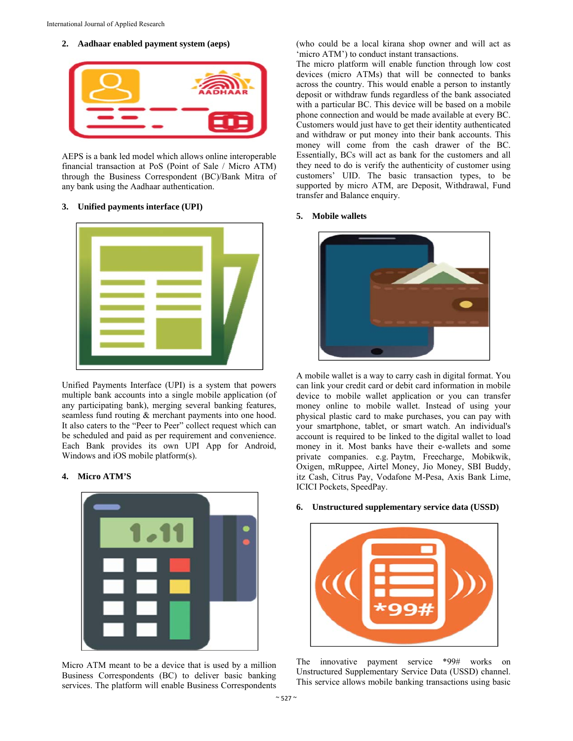# **2. Aadhaar enabled payment system (aeps)**



AEPS is a bank led model which allows online interoperable financial transaction at PoS (Point of Sale / Micro ATM) through the Business Correspondent (BC)/Bank Mitra of any bank using the Aadhaar authentication.

# **3. Unified payments interface (UPI)**



Unified Payments Interface (UPI) is a system that powers multiple bank accounts into a single mobile application (of any participating bank), merging several banking features, seamless fund routing & merchant payments into one hood. It also caters to the "Peer to Peer" collect request which can be scheduled and paid as per requirement and convenience. Each Bank provides its own UPI App for Android, Windows and iOS mobile platform(s).

#### **4. Micro ATM'S**



Micro ATM meant to be a device that is used by a million Business Correspondents (BC) to deliver basic banking services. The platform will enable Business Correspondents

(who could be a local kirana shop owner and will act as 'micro ATM') to conduct instant transactions.

The micro platform will enable function through low cost devices (micro ATMs) that will be connected to banks across the country. This would enable a person to instantly deposit or withdraw funds regardless of the bank associated with a particular BC. This device will be based on a mobile phone connection and would be made available at every BC. Customers would just have to get their identity authenticated and withdraw or put money into their bank accounts. This money will come from the cash drawer of the BC. Essentially, BCs will act as bank for the customers and all they need to do is verify the authenticity of customer using customers' UID. The basic transaction types, to be supported by micro ATM, are Deposit, Withdrawal, Fund transfer and Balance enquiry.

#### **5. Mobile wallets**



A mobile wallet is a way to carry cash in digital format. You can link your credit card or debit card information in mobile device to mobile wallet application or you can transfer money online to mobile wallet. Instead of using your physical plastic card to make purchases, you can pay with your smartphone, tablet, or smart watch. An individual's account is required to be linked to the digital wallet to load money in it. Most banks have their e-wallets and some private companies. e.g. Paytm, Freecharge, Mobikwik, Oxigen, mRuppee, Airtel Money, Jio Money, SBI Buddy, itz Cash, Citrus Pay, Vodafone M-Pesa, Axis Bank Lime, ICICI Pockets, SpeedPay.

#### **6. Unstructured supplementary service data (USSD)**



The innovative payment service \*99# works on Unstructured Supplementary Service Data (USSD) channel. This service allows mobile banking transactions using basic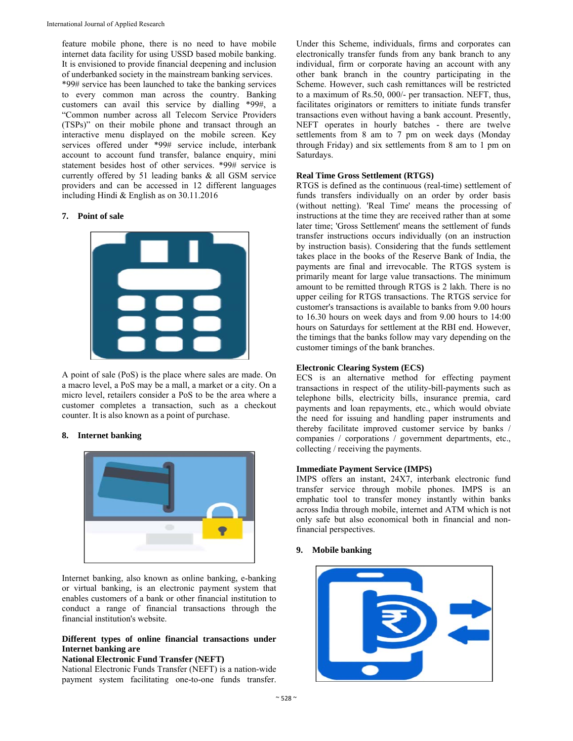feature mobile phone, there is no need to have mobile internet data facility for using USSD based mobile banking. It is envisioned to provide financial deepening and inclusion of underbanked society in the mainstream banking services. \*99# service has been launched to take the banking services to every common man across the country. Banking customers can avail this service by dialling \*99#, a "Common number across all Telecom Service Providers (TSPs)" on their mobile phone and transact through an interactive menu displayed on the mobile screen. Key services offered under \*99# service include, interbank account to account fund transfer, balance enquiry, mini statement besides host of other services. \*99# service is currently offered by 51 leading banks & all GSM service providers and can be accessed in 12 different languages including Hindi & English as on 30.11.2016

# **7. Point of sale**



A point of sale (PoS) is the place where sales are made. On a macro level, a PoS may be a mall, a market or a city. On a micro level, retailers consider a PoS to be the area where a customer completes a transaction, such as a checkout counter. It is also known as a point of purchase.

#### **8. Internet banking**



Internet banking, also known as online banking, e-banking or virtual banking, is an electronic payment system that enables customers of a bank or other financial institution to conduct a range of financial transactions through the financial institution's website.

# **Different types of online financial transactions under Internet banking are**

#### **National Electronic Fund Transfer (NEFT)**

National Electronic Funds Transfer (NEFT) is a nation-wide payment system facilitating one-to-one funds transfer.

Under this Scheme, individuals, firms and corporates can electronically transfer funds from any bank branch to any individual, firm or corporate having an account with any other bank branch in the country participating in the Scheme. However, such cash remittances will be restricted to a maximum of Rs.50, 000/- per transaction. NEFT, thus, facilitates originators or remitters to initiate funds transfer transactions even without having a bank account. Presently, NEFT operates in hourly batches - there are twelve settlements from 8 am to 7 pm on week days (Monday through Friday) and six settlements from 8 am to 1 pm on Saturdays.

#### **Real Time Gross Settlement (RTGS)**

RTGS is defined as the continuous (real-time) settlement of funds transfers individually on an order by order basis (without netting). 'Real Time' means the processing of instructions at the time they are received rather than at some later time; 'Gross Settlement' means the settlement of funds transfer instructions occurs individually (on an instruction by instruction basis). Considering that the funds settlement takes place in the books of the Reserve Bank of India, the payments are final and irrevocable. The RTGS system is primarily meant for large value transactions. The minimum amount to be remitted through RTGS is 2 lakh. There is no upper ceiling for RTGS transactions. The RTGS service for customer's transactions is available to banks from 9.00 hours to 16.30 hours on week days and from 9.00 hours to 14:00 hours on Saturdays for settlement at the RBI end. However, the timings that the banks follow may vary depending on the customer timings of the bank branches.

#### **Electronic Clearing System (ECS)**

ECS is an alternative method for effecting payment transactions in respect of the utility-bill-payments such as telephone bills, electricity bills, insurance premia, card payments and loan repayments, etc., which would obviate the need for issuing and handling paper instruments and thereby facilitate improved customer service by banks / companies / corporations / government departments, etc., collecting / receiving the payments.

#### **Immediate Payment Service (IMPS)**

IMPS offers an instant, 24X7, interbank electronic fund transfer service through mobile phones. IMPS is an emphatic tool to transfer money instantly within banks across India through mobile, internet and ATM which is not only safe but also economical both in financial and nonfinancial perspectives.

# **9. Mobile banking**

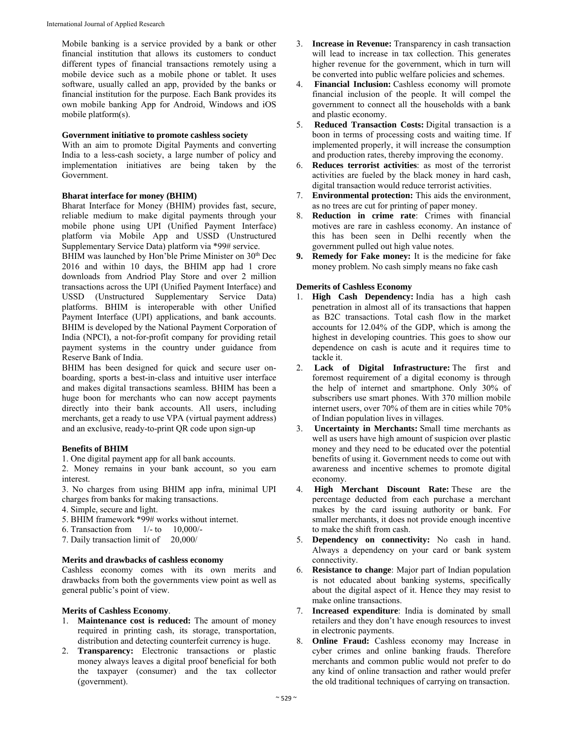Mobile banking is a service provided by a bank or other financial institution that allows its customers to conduct different types of financial transactions remotely using a mobile device such as a mobile phone or tablet. It uses software, usually called an app, provided by the banks or financial institution for the purpose. Each Bank provides its own mobile banking App for Android, Windows and iOS mobile platform(s).

#### **Government initiative to promote cashless society**

With an aim to promote Digital Payments and converting India to a less-cash society, a large number of policy and implementation initiatives are being taken by the Government.

# **Bharat interface for money (BHIM)**

Bharat Interface for Money (BHIM) provides fast, secure, reliable medium to make digital payments through your mobile phone using UPI (Unified Payment Interface) platform via Mobile App and USSD (Unstructured Supplementary Service Data) platform via \*99# service.

BHIM was launched by Hon'ble Prime Minister on 30<sup>th</sup> Dec 2016 and within 10 days, the BHIM app had 1 crore downloads from Andriod Play Store and over 2 million transactions across the UPI (Unified Payment Interface) and USSD (Unstructured Supplementary Service Data) platforms. BHIM is interoperable with other Unified Payment Interface (UPI) applications, and bank accounts. BHIM is developed by the National Payment Corporation of India (NPCI), a not-for-profit company for providing retail payment systems in the country under guidance from Reserve Bank of India.

BHIM has been designed for quick and secure user onboarding, sports a best-in-class and intuitive user interface and makes digital transactions seamless. BHIM has been a huge boon for merchants who can now accept payments directly into their bank accounts. All users, including merchants, get a ready to use VPA (virtual payment address) and an exclusive, ready-to-print QR code upon sign-up

# **Benefits of BHIM**

1. One digital payment app for all bank accounts.

2. Money remains in your bank account, so you earn interest.

3. No charges from using BHIM app infra, minimal UPI charges from banks for making transactions.

- 4. Simple, secure and light.
- 5. BHIM framework \*99# works without internet.
- 6. Transaction from 1/- to 10,000/-
- 7. Daily transaction limit of 20,000/

#### **Merits and drawbacks of cashless economy**

Cashless economy comes with its own merits and drawbacks from both the governments view point as well as general public's point of view.

# **Merits of Cashless Economy**.

- 1. **Maintenance cost is reduced:** The amount of money required in printing cash, its storage, transportation, distribution and detecting counterfeit currency is huge.
- 2. **Transparency:** Electronic transactions or plastic money always leaves a digital proof beneficial for both the taxpayer (consumer) and the tax collector (government).
- 3. **Increase in Revenue:** Transparency in cash transaction will lead to increase in tax collection. This generates higher revenue for the government, which in turn will be converted into public welfare policies and schemes.
- 4. **Financial Inclusion:** Cashless economy will promote financial inclusion of the people. It will compel the government to connect all the households with a bank and plastic economy.
- 5. **Reduced Transaction Costs:** Digital transaction is a boon in terms of processing costs and waiting time. If implemented properly, it will increase the consumption and production rates, thereby improving the economy.
- 6. **Reduces terrorist activities**: as most of the terrorist activities are fueled by the black money in hard cash, digital transaction would reduce terrorist activities.
- 7. **Environmental protection:** This aids the environment, as no trees are cut for printing of paper money.
- 8. **Reduction in crime rate**: Crimes with financial motives are rare in cashless economy. An instance of this has been seen in Delhi recently when the government pulled out high value notes.
- **9. Remedy for Fake money:** It is the medicine for fake money problem. No cash simply means no fake cash

# **Demerits of Cashless Economy**

- 1. **High Cash Dependency:** India has a high cash penetration in almost all of its transactions that happen as B2C transactions. Total cash flow in the market accounts for 12.04% of the GDP, which is among the highest in developing countries. This goes to show our dependence on cash is acute and it requires time to tackle it.
- 2. **Lack of Digital Infrastructure:** The first and foremost requirement of a digital economy is through the help of internet and smartphone. Only 30% of subscribers use smart phones. With 370 million mobile internet users, over 70% of them are in cities while 70% of Indian population lives in villages.
- 3. **Uncertainty in Merchants:** Small time merchants as well as users have high amount of suspicion over plastic money and they need to be educated over the potential benefits of using it. Government needs to come out with awareness and incentive schemes to promote digital economy.
- 4. **High Merchant Discount Rate:** These are the percentage deducted from each purchase a merchant makes by the card issuing authority or bank. For smaller merchants, it does not provide enough incentive to make the shift from cash.
- 5. **Dependency on connectivity:** No cash in hand. Always a dependency on your card or bank system connectivity.
- 6. **Resistance to change**: Major part of Indian population is not educated about banking systems, specifically about the digital aspect of it. Hence they may resist to make online transactions.
- 7. **Increased expenditure**: India is dominated by small retailers and they don't have enough resources to invest in electronic payments.
- 8. **Online Fraud:** Cashless economy may Increase in cyber crimes and online banking frauds. Therefore merchants and common public would not prefer to do any kind of online transaction and rather would prefer the old traditional techniques of carrying on transaction.